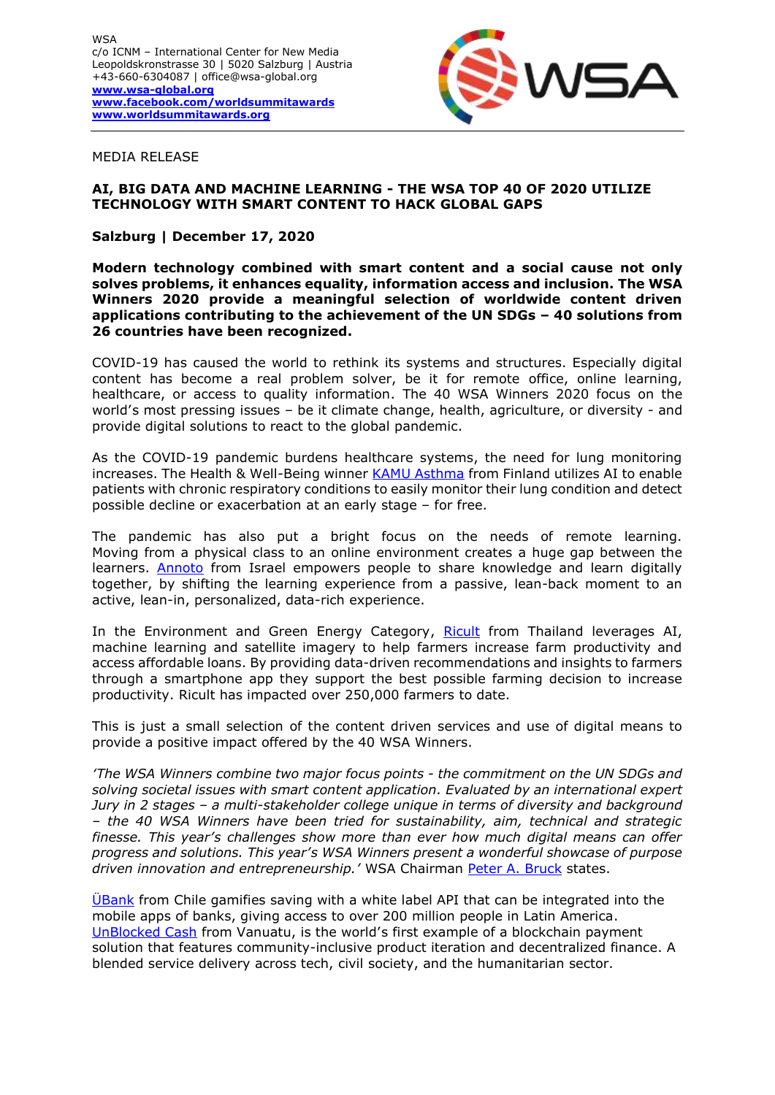

#### MEDIA RELEASE

# **AI, BIG DATA AND MACHINE LEARNING - THE WSA TOP 40 OF 2020 UTILIZE TECHNOLOGY WITH SMART CONTENT TO HACK GLOBAL GAPS**

## **Salzburg | December 17, 2020**

**Modern technology combined with smart content and a social cause not only solves problems, it enhances equality, information access and inclusion. The WSA Winners 2020 provide a meaningful selection of worldwide content driven applications contributing to the achievement of the UN SDGs – 40 solutions from 26 countries have been recognized.** 

COVID-19 has caused the world to rethink its systems and structures. Especially digital content has become a real problem solver, be it for remote office, online learning, healthcare, or access to quality information. The 40 WSA Winners 2020 focus on the world's most pressing issues – be it climate change, health, agriculture, or diversity - and provide digital solutions to react to the global pandemic.

As the COVID-19 pandemic burdens healthcare systems, the need for lung monitoring increases. The Health & Well-Being winner [KAMU Asthma](https://kamuhealth.com/) from Finland utilizes AI to enable patients with chronic respiratory conditions to easily monitor their lung condition and detect possible decline or exacerbation at an early stage – for free.

The pandemic has also put a bright focus on the needs of remote learning. Moving from a physical class to an online environment creates a huge gap between the learners. [Annoto](https://www.annoto.net/) from Israel empowers people to share knowledge and learn digitally together, by shifting the learning experience from a passive, lean-back moment to an active, lean-in, personalized, data-rich experience.

In the Environment and Green Energy Category, [Ricult](http://www.ricult.com/) from Thailand leverages AI, machine learning and satellite imagery to help farmers increase farm productivity and access affordable loans. By providing data-driven recommendations and insights to farmers through a smartphone app they support the best possible farming decision to increase productivity. Ricult has impacted over 250,000 farmers to date.

This is just a small selection of the content driven services and use of digital means to provide a positive impact offered by the 40 WSA Winners.

*'The WSA Winners combine two major focus points - the commitment on the UN SDGs and solving societal issues with smart content application. Evaluated by an international expert Jury in 2 stages – a multi-stakeholder college unique in terms of diversity and background – the 40 WSA Winners have been tried for sustainability, aim, technical and strategic finesse. This year's challenges show more than ever how much digital means can offer progress and solutions. This year's WSA Winners present a wonderful showcase of purpose driven innovation and entrepreneurship.'* WSA Chairman [Peter A. Bruck](https://wsa-global.org/person/peter-a-bruck/) states.

UBank from Chile gamifies saving with a white label API that can be integrated into the mobile apps of banks, giving access to over 200 million people in Latin America. [UnBlocked Cash](https://policy-practice.oxfam.org.uk/publications/unblocked-cash-piloting-accelerated-cash-transfer-delivery-in-vanuatu-620926) from Vanuatu, is the world's first example of a blockchain payment solution that features community-inclusive product iteration and decentralized finance. A blended service delivery across tech, civil society, and the humanitarian sector.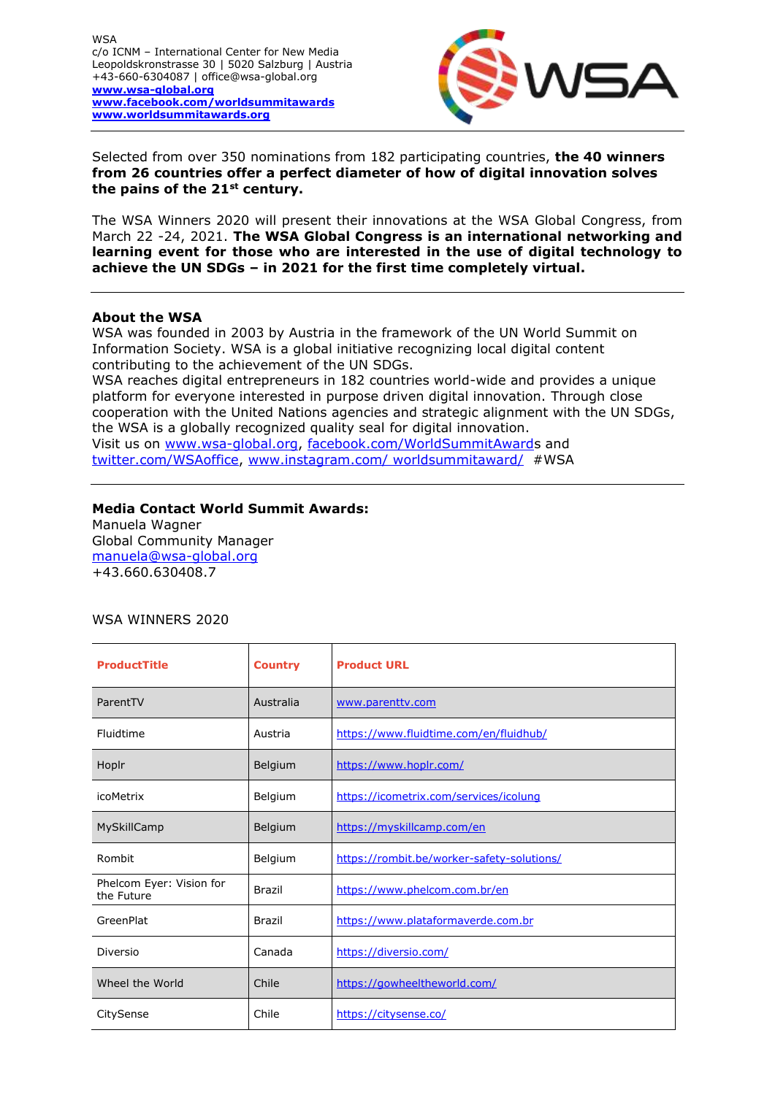**WSA** c/o ICNM – International Center for New Media Leopoldskronstrasse 30 | 5020 Salzburg | Austria +43-660-6304087 | office@wsa-global.org **[www.wsa-global.org](http://www.wsa-global.org/)  [www.facebook.com/worldsummitawards](http://www.facebook.com/worldsummitawards) [www.worldsummitawards.org](http://www.worldsummitawards.org/)** 



Selected from over 350 nominations from 182 participating countries, **the 40 winners from 26 countries offer a perfect diameter of how of digital innovation solves the pains of the 21st century.** 

The WSA Winners 2020 will present their innovations at the WSA Global Congress, from March 22 -24, 2021. **The WSA Global Congress is an international networking and learning event for those who are interested in the use of digital technology to achieve the UN SDGs – in 2021 for the first time completely virtual.**

#### **About the WSA**

WSA was founded in 2003 by Austria in the framework of the UN World Summit on Information Society. WSA is a global initiative recognizing local digital content contributing to the achievement of the UN SDGs.

WSA reaches digital entrepreneurs in 182 countries world-wide and provides a unique platform for everyone interested in purpose driven digital innovation. Through close cooperation with the United Nations agencies and strategic alignment with the UN SDGs, the WSA is a globally recognized quality seal for digital innovation. Visit us on [www.wsa-global.org,](http://www.wsa-global.org/) [facebook.com/WorldSummitAwards](http://www.facebook.com/WorldSummitAward) and [twitter.com/WSAoffice,](https://twitter.com/#!/wsaoffice) [www.instagram.com/ worldsummitaward/](http://www.instagram.com/%20worldsummitaward/) [#WSA](https://www.facebook.com/hashtag/wsa?source=note)

### **Media Contact World Summit Awards:**

Manuela Wagner Global Community Manager [manuela@wsa-global.org](mailto:manuela@wsa-global.org) +43.660.630408.7

## WSA WINNERS 2020

| <b>ProductTitle</b>                    | <b>Country</b> | <b>Product URL</b>                         |
|----------------------------------------|----------------|--------------------------------------------|
| ParentTV                               | Australia      | www.parentty.com                           |
| Fluidtime                              | Austria        | https://www.fluidtime.com/en/fluidhub/     |
| Hoplr                                  | Belgium        | https://www.hoplr.com/                     |
| <i>icoMetrix</i>                       | Belgium        | https://icometrix.com/services/icolung     |
| MySkillCamp                            | Belgium        | https://myskillcamp.com/en                 |
| Rombit                                 | Belgium        | https://rombit.be/worker-safety-solutions/ |
| Phelcom Eyer: Vision for<br>the Future | <b>Brazil</b>  | https://www.phelcom.com.br/en              |
| GreenPlat                              | <b>Brazil</b>  | https://www.plataformaverde.com.br         |
| Diversio                               | Canada         | https://diversio.com/                      |
| Wheel the World                        | Chile          | https://gowheeltheworld.com/               |
| CitySense                              | Chile          | https://citysense.co/                      |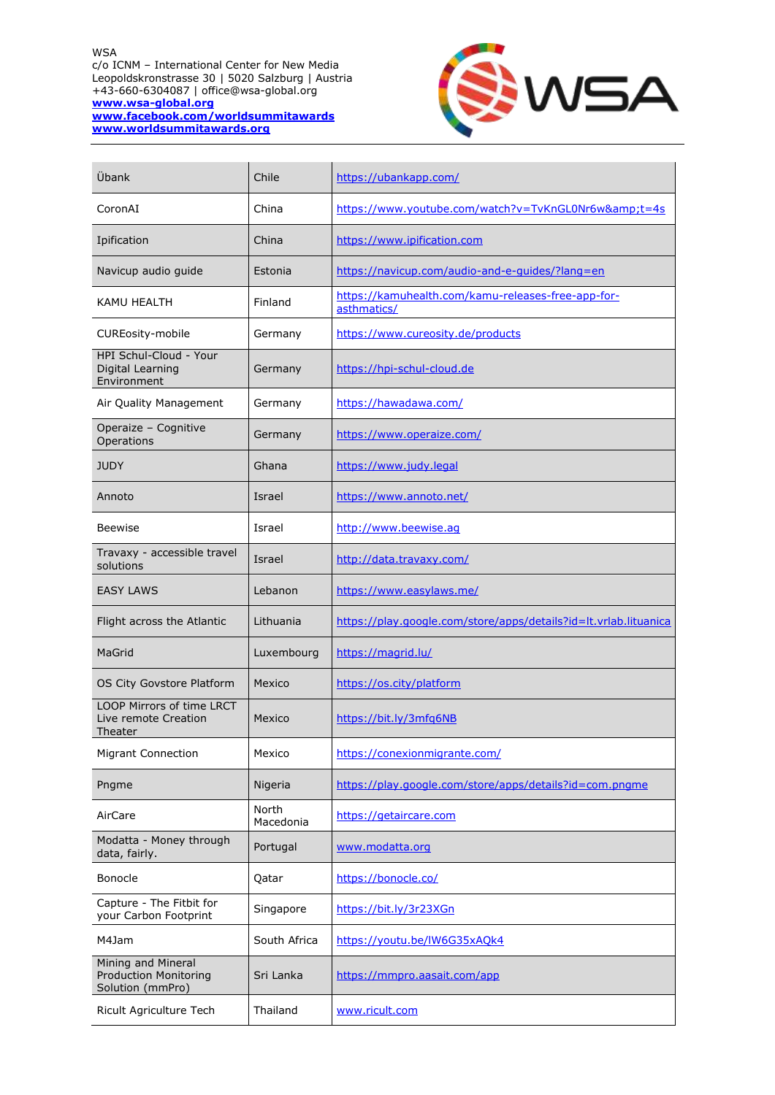WSA c/o ICNM – International Center for New Media Leopoldskronstrasse 30 | 5020 Salzburg | Austria +43-660-6304087 | office@wsa-global.org **[www.wsa-global.org](http://www.wsa-global.org/)  [www.facebook.com/worldsummitawards](http://www.facebook.com/worldsummitawards) [www.worldsummitawards.org](http://www.worldsummitawards.org/)** 



| Übank                                                                  | Chile              | https://ubankapp.com/                                             |
|------------------------------------------------------------------------|--------------------|-------------------------------------------------------------------|
| CoronAI                                                                | China              | https://www.youtube.com/watch?v=TvKnGL0Nr6w&t=4s                  |
| Ipification                                                            | China              | https://www.ipification.com                                       |
| Navicup audio guide                                                    | Estonia            | https://navicup.com/audio-and-e-guides/?lang=en                   |
| KAMU HEALTH                                                            | Finland            | https://kamuhealth.com/kamu-releases-free-app-for-<br>asthmatics/ |
| <b>CUREosity-mobile</b>                                                | Germany            | https://www.cureosity.de/products                                 |
| HPI Schul-Cloud - Your<br>Digital Learning<br>Environment              | Germany            | https://hpi-schul-cloud.de                                        |
| Air Quality Management                                                 | Germany            | https://hawadawa.com/                                             |
| Operaize - Cognitive<br>Operations                                     | Germany            | https://www.operaize.com/                                         |
| <b>JUDY</b>                                                            | Ghana              | https://www.judy.legal                                            |
| Annoto                                                                 | Israel             | https://www.annoto.net/                                           |
| <b>Beewise</b>                                                         | Israel             | http://www.beewise.ag                                             |
| Travaxy - accessible travel<br>solutions                               | Israel             | http://data.travaxy.com/                                          |
| <b>EASY LAWS</b>                                                       | Lebanon            | https://www.easylaws.me/                                          |
| Flight across the Atlantic                                             | Lithuania          | https://play.google.com/store/apps/details?id=lt.vrlab.lituanica  |
| MaGrid                                                                 | Luxembourg         | https://magrid.lu/                                                |
| OS City Govstore Platform                                              | Mexico             | https://os.city/platform                                          |
| <b>LOOP Mirrors of time LRCT</b><br>Live remote Creation<br>Theater    | Mexico             | https://bit.ly/3mfq6NB                                            |
| Migrant Connection                                                     | Mexico             | https://conexionmigrante.com/                                     |
| Pngme                                                                  | Nigeria            | https://play.google.com/store/apps/details?id=com.pngme           |
| AirCare                                                                | North<br>Macedonia | https://getaircare.com                                            |
| Modatta - Money through<br>data, fairly.                               | Portugal           | www.modatta.org                                                   |
| Bonocle                                                                | Qatar              | https://bonocle.co/                                               |
| Capture - The Fitbit for<br>your Carbon Footprint                      | Singapore          | https://bit.ly/3r23XGn                                            |
| M4Jam                                                                  | South Africa       | https://youtu.be/lW6G35xAQk4                                      |
| Mining and Mineral<br><b>Production Monitoring</b><br>Solution (mmPro) | Sri Lanka          | https://mmpro.aasait.com/app                                      |
| Ricult Agriculture Tech                                                | Thailand           | www.ricult.com                                                    |